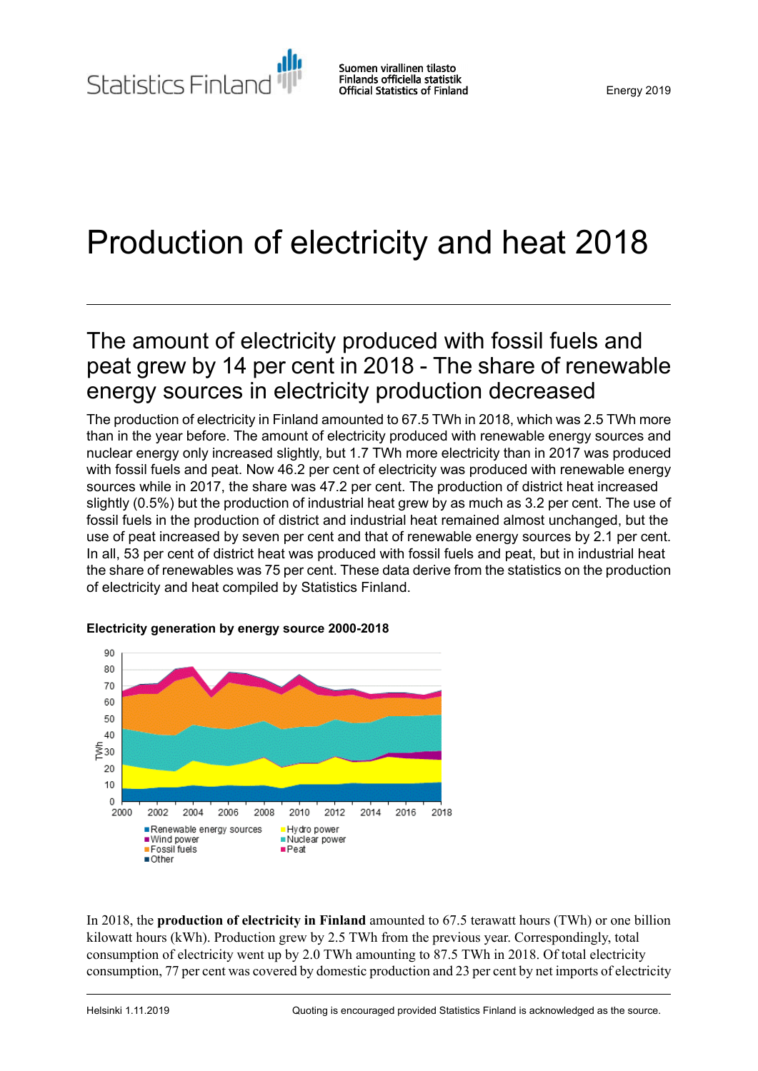# Production of electricity and heat 2018

## The amount of electricity produced with fossil fuels and peat grew by 14 per cent in 2018 - The share of renewable energy sources in electricity production decreased

The production of electricity in Finland amounted to 67.5 TWh in 2018, which was 2.5 TWh more than in the year before. The amount of electricity produced with renewable energy sources and nuclear energy only increased slightly, but 1.7 TWh more electricity than in 2017 was produced with fossil fuels and peat. Now 46.2 per cent of electricity was produced with renewable energy sources while in 2017, the share was 47.2 per cent. The production of district heat increased slightly (0.5%) but the production of industrial heat grew by as much as 3.2 per cent. The use of fossil fuels in the production of district and industrial heat remained almost unchanged, but the use of peat increased by seven per cent and that of renewable energy sources by 2.1 per cent. In all, 53 per cent of district heat was produced with fossil fuels and peat, but in industrial heat the share of renewables was 75 per cent. These data derive from the statistics on the production of electricity and heat compiled by Statistics Finland.



### **Electricity generation by energy source 2000-2018**

In 2018, the **production of electricity in Finland** amounted to 67.5 terawatt hours (TWh) or one billion kilowatt hours (kWh). Production grew by 2.5 TWh from the previous year. Correspondingly, total consumption of electricity went up by 2.0 TWh amounting to 87.5 TWh in 2018. Of total electricity consumption, 77 per cent was covered by domestic production and 23 per cent by net imports of electricity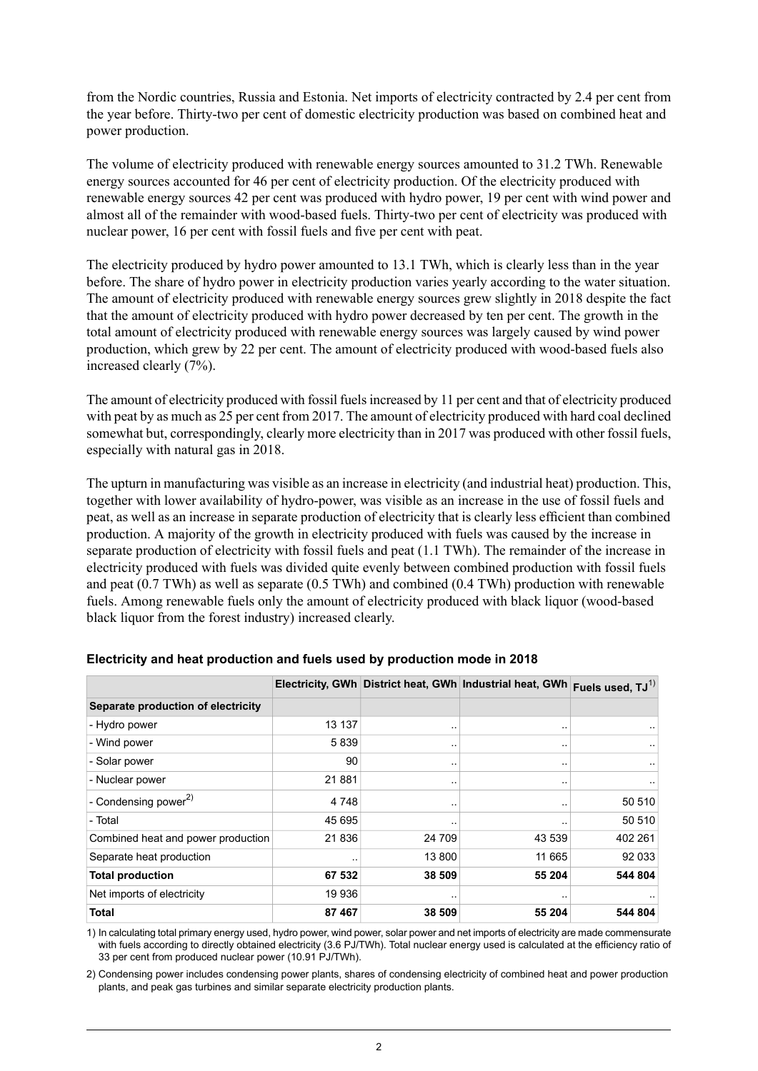from the Nordic countries, Russia and Estonia. Net imports of electricity contracted by 2.4 per cent from the year before. Thirty-two per cent of domestic electricity production was based on combined heat and power production.

The volume of electricity produced with renewable energy sources amounted to 31.2 TWh. Renewable energy sources accounted for 46 per cent of electricity production. Of the electricity produced with renewable energy sources 42 per cent was produced with hydro power, 19 per cent with wind power and almost all of the remainder with wood-based fuels. Thirty-two per cent of electricity was produced with nuclear power, 16 per cent with fossil fuels and five per cent with peat.

The electricity produced by hydro power amounted to 13.1 TWh, which is clearly less than in the year before. The share of hydro power in electricity production varies yearly according to the water situation. The amount of electricity produced with renewable energy sources grew slightly in 2018 despite the fact that the amount of electricity produced with hydro power decreased by ten per cent. The growth in the total amount of electricity produced with renewable energy sources was largely caused by wind power production, which grew by 22 per cent. The amount of electricity produced with wood-based fuels also increased clearly (7%).

The amount of electricity produced with fossil fuelsincreased by 11 per cent and that of electricity produced with peat by as much as 25 per cent from 2017. The amount of electricity produced with hard coal declined somewhat but, correspondingly, clearly more electricity than in 2017 was produced with other fossil fuels, especially with natural gas in 2018.

The upturn in manufacturing was visible as an increase in electricity (and industrial heat) production. This, together with lower availability of hydro-power, was visible as an increase in the use of fossil fuels and peat, as well as an increase in separate production of electricity that is clearly less efficient than combined production. A majority of the growth in electricity produced with fuels was caused by the increase in separate production of electricity with fossil fuels and peat (1.1 TWh). The remainder of the increase in electricity produced with fuels was divided quite evenly between combined production with fossil fuels and peat (0.7 TWh) as well as separate (0.5 TWh) and combined (0.4 TWh) production with renewable fuels. Among renewable fuels only the amount of electricity produced with black liquor (wood-based black liquor from the forest industry) increased clearly.

|                                    |         |               | Electricity, GWh District heat, GWh Industrial heat, GWh Fuels used, TJ <sup>1)</sup> |         |
|------------------------------------|---------|---------------|---------------------------------------------------------------------------------------|---------|
| Separate production of electricity |         |               |                                                                                       |         |
| - Hydro power                      | 13 137  | $\ddotsc$     |                                                                                       |         |
| - Wind power                       | 5839    | $\cdot$ .     |                                                                                       |         |
| - Solar power                      | 90      | $\cdot$ .     | $\sim$                                                                                |         |
| - Nuclear power                    | 21881   | $\cdot$ .     | $\sim$                                                                                |         |
| - Condensing power <sup>2)</sup>   | 4 7 4 8 | $\cdot$ .     |                                                                                       | 50 510  |
| - Total                            | 45 695  | $\sim$ $\sim$ |                                                                                       | 50 510  |
| Combined heat and power production | 21836   | 24 709        | 43 539                                                                                | 402 261 |
| Separate heat production           |         | 13 800        | 11 665                                                                                | 92 033  |
| <b>Total production</b>            | 67 532  | 38 509        | 55 204                                                                                | 544 804 |
| Net imports of electricity         | 19 936  | $\cdot$ .     | $\sim$                                                                                |         |
| Total                              | 87 467  | 38 509        | 55 204                                                                                | 544 804 |

### **Electricity and heat production and fuels used by production mode in 2018**

1) In calculating total primary energy used, hydro power, wind power, solar power and net imports of electricity are made commensurate with fuels according to directly obtained electricity (3.6 PJ/TWh). Total nuclear energy used is calculated at the efficiency ratio of 33 per cent from produced nuclear power (10.91 PJ/TWh).

2) Condensing power includes condensing power plants, shares of condensing electricity of combined heat and power production plants, and peak gas turbines and similar separate electricity production plants.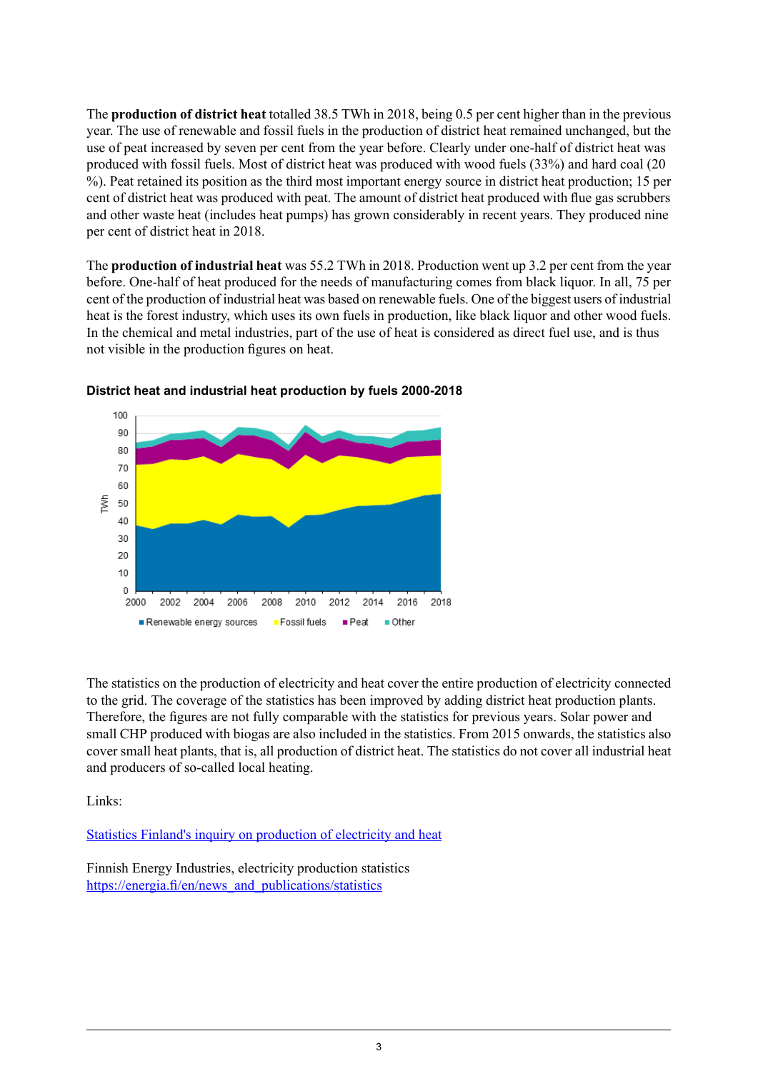The **production of district heat** totalled 38.5 TWh in 2018, being 0.5 per cent higher than in the previous year. The use of renewable and fossil fuels in the production of district heat remained unchanged, but the use of peat increased by seven per cent from the year before. Clearly under one-half of district heat was produced with fossil fuels. Most of district heat was produced with wood fuels (33%) and hard coal (20 %). Peat retained its position as the third most important energy source in district heat production; 15 per cent of district heat was produced with peat. The amount of district heat produced with flue gas scrubbers and other waste heat (includes heat pumps) has grown considerably in recent years. They produced nine per cent of district heat in 2018.

The **production of industrial heat** was 55.2 TWh in 2018. Production went up 3.2 per cent from the year before. One-half of heat produced for the needs of manufacturing comes from black liquor. In all, 75 per cent of the production of industrial heat was based on renewable fuels. One of the biggest users of industrial heat is the forest industry, which uses its own fuels in production, like black liquor and other wood fuels. In the chemical and metal industries, part of the use of heat is considered as direct fuel use, and is thus not visible in the production figures on heat.



#### **District heat and industrial heat production by fuels 2000-2018**

The statistics on the production of electricity and heat cover the entire production of electricity connected to the grid. The coverage of the statistics has been improved by adding district heat production plants. Therefore, the figures are not fully comparable with the statistics for previous years. Solar power and small CHP produced with biogas are also included in the statistics. From 2015 onwards, the statistics also cover small heat plants, that is, all production of district heat. The statistics do not cover all industrial heat and producers of so-called local heating.

Links:

Statistics Finland's inquiry on [production](http://www.stat.fi/keruu/ene/index_en.html) of electricity and heat

Finnish Energy Industries, electricity production statistics [https://energia.fi/en/news\\_and\\_publications/statistics](https://energia.fi/en/news_and_publications/statistics)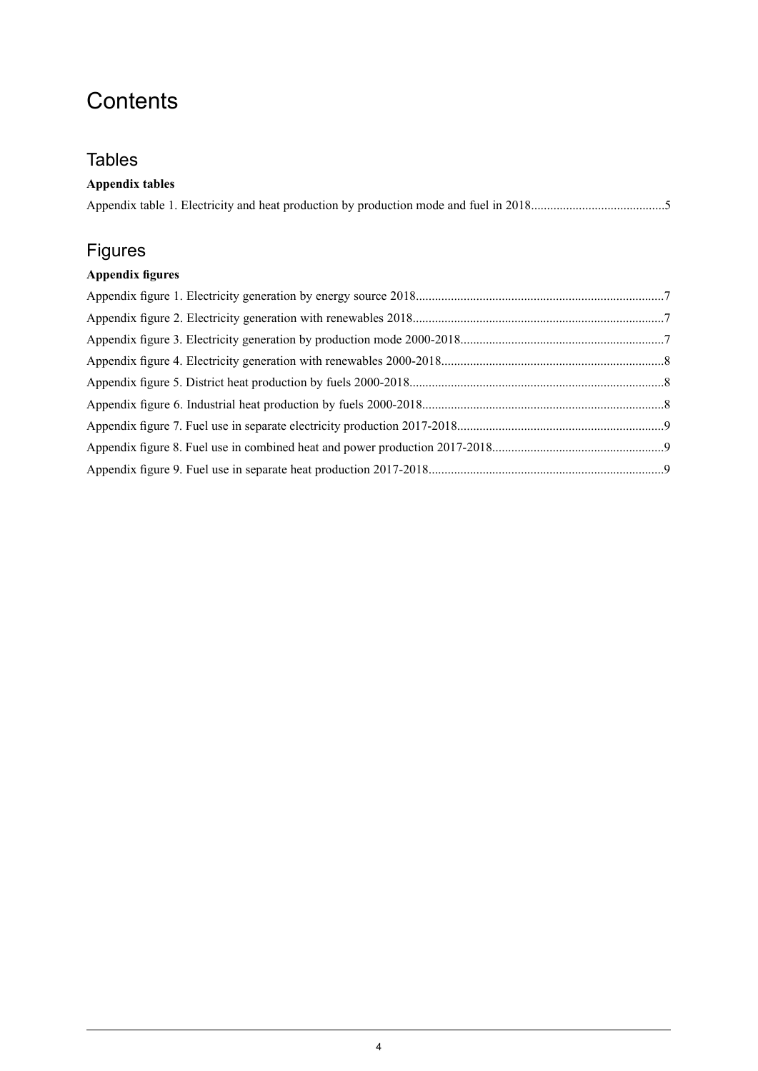## **Contents**

## **Tables**

| <b>Appendix tables</b> |  |
|------------------------|--|
|------------------------|--|

## Figures

## **Appendix figures**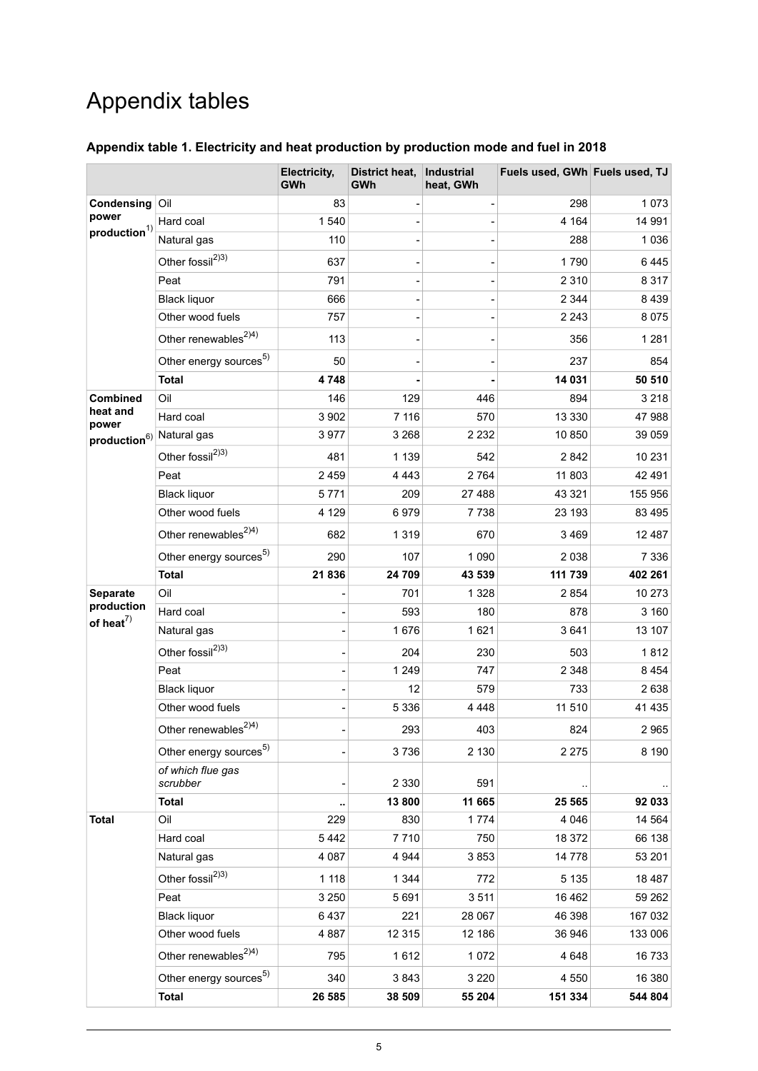## Appendix tables

|                                                |                                    | Electricity,<br><b>GWh</b> | District heat,<br>GWh | <b>Industrial</b><br>heat, GWh | Fuels used, GWh Fuels used, TJ |          |
|------------------------------------------------|------------------------------------|----------------------------|-----------------------|--------------------------------|--------------------------------|----------|
| Condensing<br>power<br>production <sup>1</sup> | Oil                                | 83                         |                       |                                | 298                            | 1073     |
|                                                | Hard coal                          | 1540                       |                       |                                | 4 1 6 4                        | 14 991   |
|                                                | Natural gas                        | 110                        |                       |                                | 288                            | 1036     |
|                                                | Other fossil <sup>2)3)</sup>       | 637                        |                       |                                | 1790                           | 6445     |
|                                                | Peat                               | 791                        |                       |                                | 2 3 1 0                        | 8 3 1 7  |
|                                                | <b>Black liquor</b>                | 666                        |                       |                                | 2 3 4 4                        | 8439     |
|                                                | Other wood fuels                   | 757                        |                       |                                | 2 2 4 3                        | 8075     |
|                                                | Other renewables <sup>2)4)</sup>   | 113                        |                       |                                | 356                            | 1 2 8 1  |
|                                                | Other energy sources <sup>5)</sup> | 50                         |                       |                                | 237                            | 854      |
|                                                | <b>Total</b>                       | 4748                       |                       |                                | 14 031                         | 50 510   |
| Combined                                       | Oil                                | 146                        | 129                   | 446                            | 894                            | 3 2 1 8  |
| heat and<br>power                              | Hard coal                          | 3 9 0 2                    | 7 1 1 6               | 570                            | 13 3 3 0                       | 47988    |
| $\mathsf{production}^6$                        | Natural gas                        | 3977                       | 3 2 6 8               | 2 2 3 2                        | 10850                          | 39 059   |
|                                                | Other fossil <sup>2)3)</sup>       | 481                        | 1 1 3 9               | 542                            | 2842                           | 10 231   |
|                                                | Peat                               | 2459                       | 4 4 4 3               | 2764                           | 11 803                         | 42 491   |
|                                                | <b>Black liquor</b>                | 5771                       | 209                   | 27 488                         | 43 321                         | 155 956  |
|                                                | Other wood fuels                   | 4 1 2 9                    | 6979                  | 7 738                          | 23 193                         | 83 4 95  |
|                                                | Other renewables <sup>2)4)</sup>   | 682                        | 1 3 1 9               | 670                            | 3469                           | 12 487   |
|                                                | Other energy sources <sup>5)</sup> | 290                        | 107                   | 1 0 9 0                        | 2038                           | 7 3 3 6  |
|                                                | <b>Total</b>                       | 21836                      | 24 709                | 43 539                         | 111 739                        | 402 261  |
| Separate                                       | Oil                                |                            | 701                   | 1 3 2 8                        | 2854                           | 10 273   |
| production<br>of heat $^{7)}$                  | Hard coal                          |                            | 593                   | 180                            | 878                            | 3 160    |
|                                                | Natural gas                        |                            | 1676                  | 1621                           | 3641                           | 13 107   |
|                                                | Other fossil <sup>2)3)</sup>       |                            | 204                   | 230                            | 503                            | 1812     |
|                                                | Peat                               |                            | 1 2 4 9               | 747                            | 2 3 4 8                        | 8454     |
|                                                | <b>Black liquor</b>                |                            | 12                    | 579                            | 733                            | 2638     |
|                                                | Other wood fuels                   |                            | 5 3 3 6               | 4 4 4 8                        | 11 510                         | 41 4 35  |
|                                                | Other renewables <sup>2)4)</sup>   |                            | 293                   | 403                            | 824                            | 2965     |
|                                                | Other energy sources <sup>5)</sup> |                            | 3736                  | 2 1 3 0                        | 2 2 7 5                        | 8 1 9 0  |
|                                                | of which flue gas<br>scrubber      |                            | 2 3 3 0               | 591                            |                                |          |
|                                                | <b>Total</b>                       |                            | 13 800                | 11 665                         | 25 5 65                        | 92 033   |
| <b>Total</b>                                   | Oil                                | 229                        | 830                   | 1774                           | 4 0 4 6                        | 14 5 64  |
|                                                | Hard coal                          | 5442                       | 7710                  | 750                            | 18 372                         | 66 138   |
|                                                | Natural gas                        | 4 0 8 7                    | 4 9 4 4               | 3853                           | 14778                          | 53 201   |
|                                                | Other fossil <sup>2)3)</sup>       | 1 1 1 8                    | 1 3 4 4               | 772                            | 5 1 3 5                        | 18 4 8 7 |
|                                                | Peat                               | 3 2 5 0                    | 5691                  | 3511                           | 16 4 62                        | 59 262   |
|                                                | <b>Black liquor</b>                | 6437                       | 221                   | 28 067                         | 46 398                         | 167 032  |
|                                                | Other wood fuels                   | 4887                       | 12 3 15               | 12 186                         | 36 946                         | 133 006  |
|                                                | Other renewables <sup>2)4)</sup>   | 795                        | 1612                  | 1072                           | 4648                           | 16733    |
|                                                | Other energy sources <sup>5)</sup> | 340                        | 3843                  | 3 2 2 0                        | 4 5 5 0                        | 16 380   |

### <span id="page-4-0"></span>**Appendix table 1. Electricity and heat production by production mode and fuel in 2018**

**Total 26 585 38 509 55 204 151 334 544 804**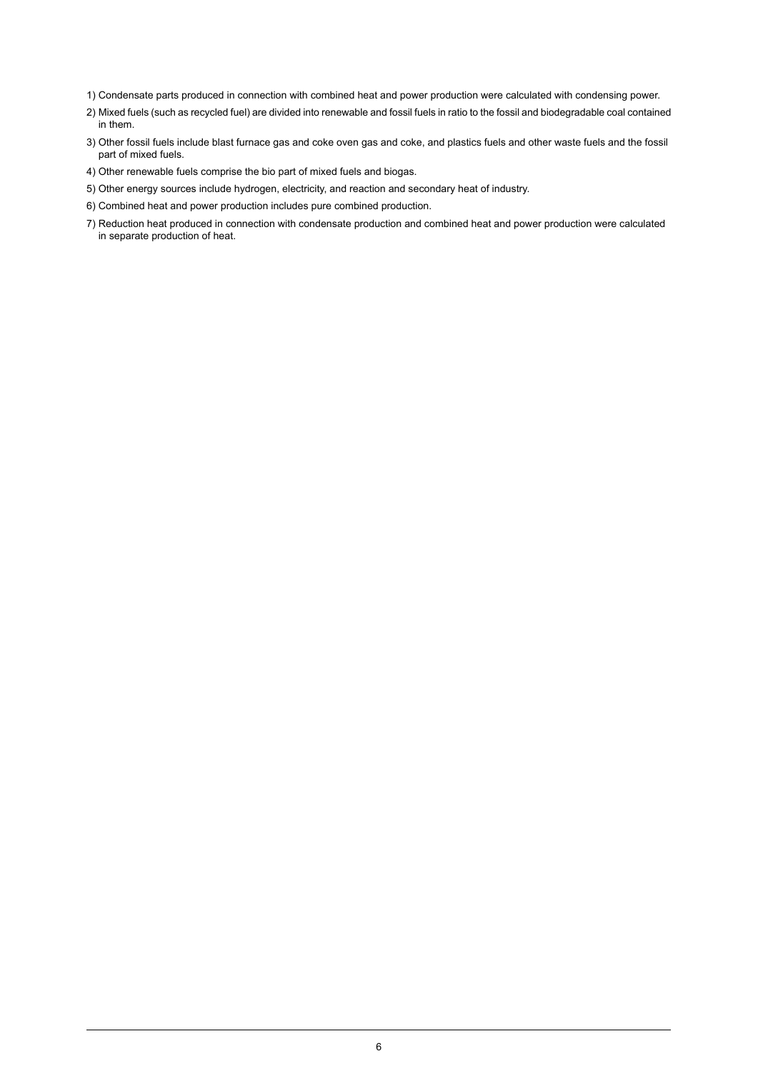- 1) Condensate parts produced in connection with combined heat and power production were calculated with condensing power.
- Mixed fuels (such as recycled fuel) are divided into renewable and fossil fuels in ratio to the fossil and biodegradable coal contained 2) in them.
- Other fossil fuels include blast furnace gas and coke oven gas and coke, and plastics fuels and other waste fuels and the fossil 3) part of mixed fuels.
- 4) Other renewable fuels comprise the bio part of mixed fuels and biogas.
- 5) Other energy sources include hydrogen, electricity, and reaction and secondary heat of industry.
- 6) Combined heat and power production includes pure combined production.
- 7) Reduction heat produced in connection with condensate production and combined heat and power production were calculated in separate production of heat.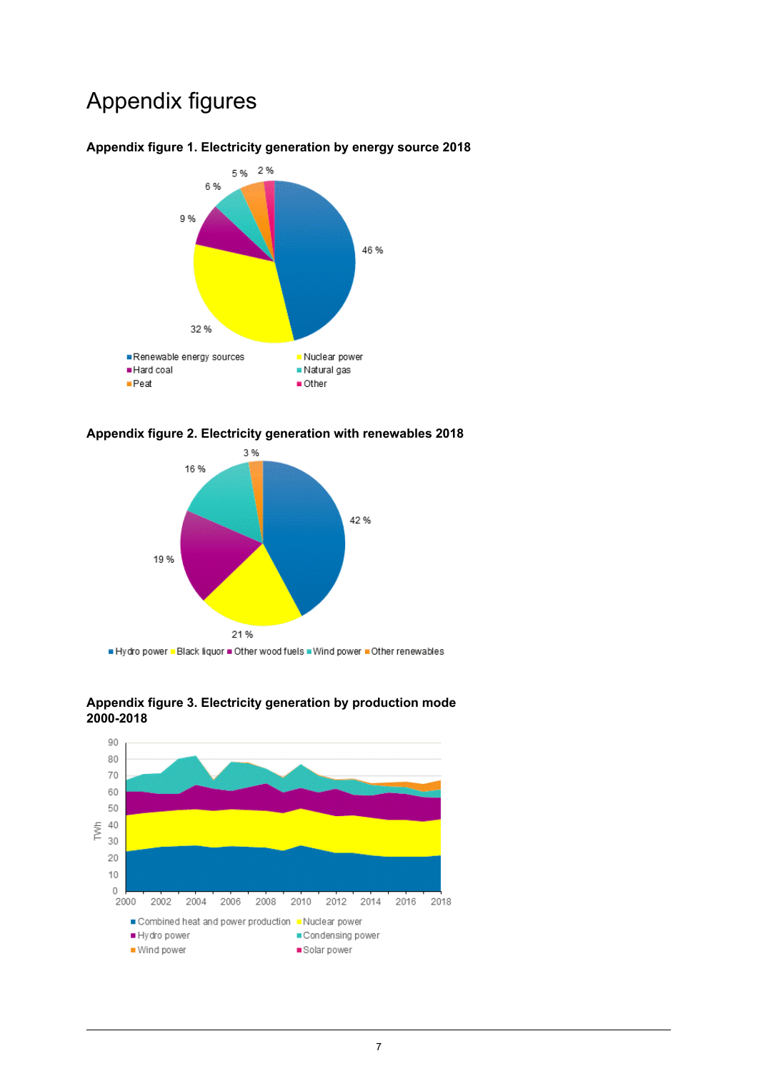## Appendix figures



### <span id="page-6-0"></span>**Appendix figure 1. Electricity generation by energy source 2018**

<span id="page-6-1"></span>



<span id="page-6-2"></span>Hydro power . Black liquor . Other wood fuels . Wind power . Other renewables



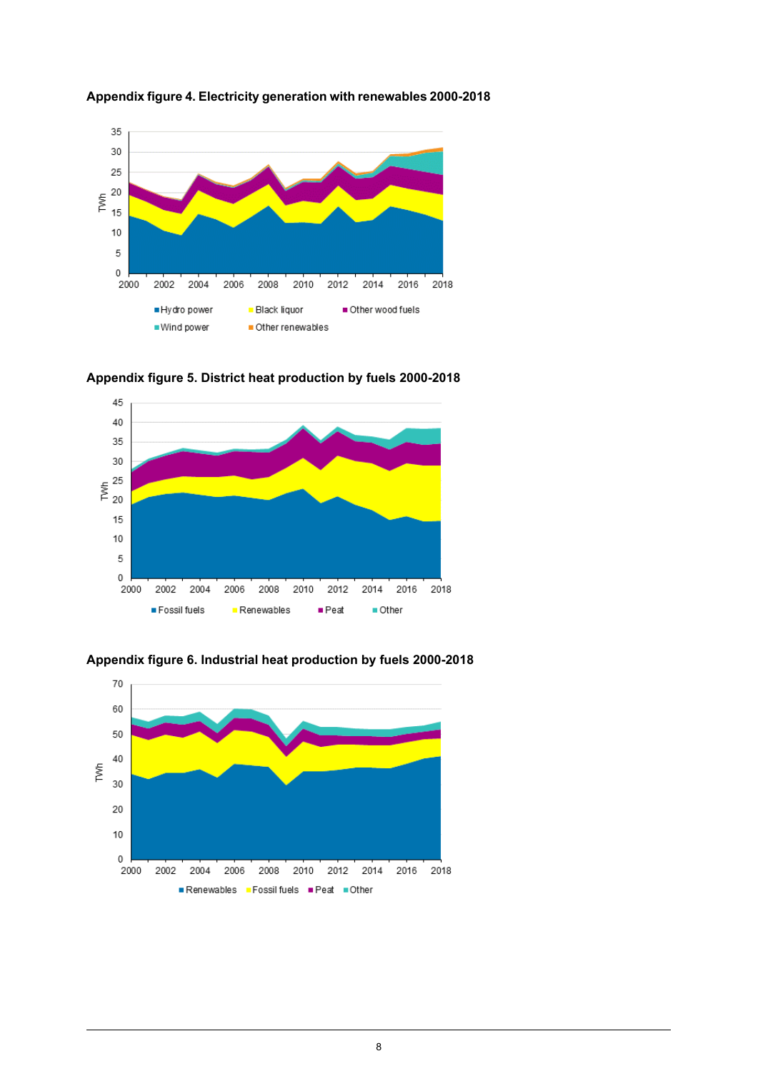

### <span id="page-7-0"></span>**Appendix figure 4. Electricity generation with renewables 2000-2018**

<span id="page-7-1"></span>





<span id="page-7-2"></span>**Appendix figure 6. Industrial heat production by fuels 2000-2018**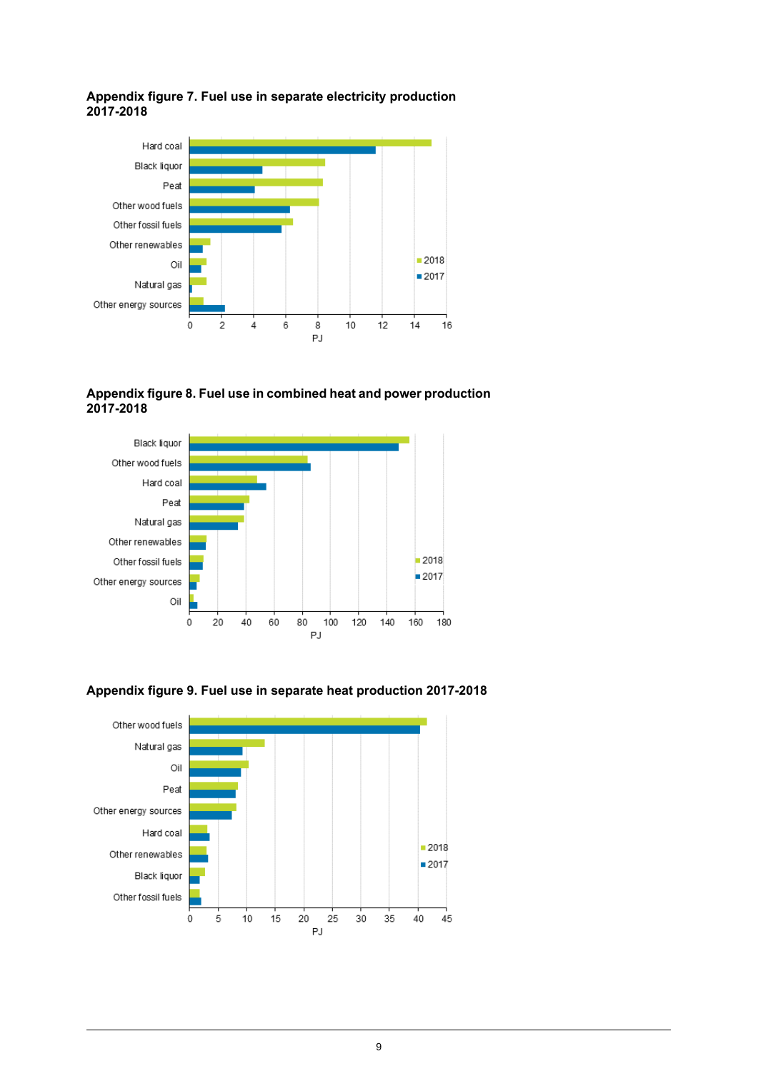### <span id="page-8-0"></span>**Appendix figure 7. Fuel use in separate electricity production 2017-2018**



<span id="page-8-1"></span>**Appendix figure 8. Fuel use in combined heat and power production 2017-2018**





<span id="page-8-2"></span>**Appendix figure 9. Fuel use in separate heat production 2017-2018**